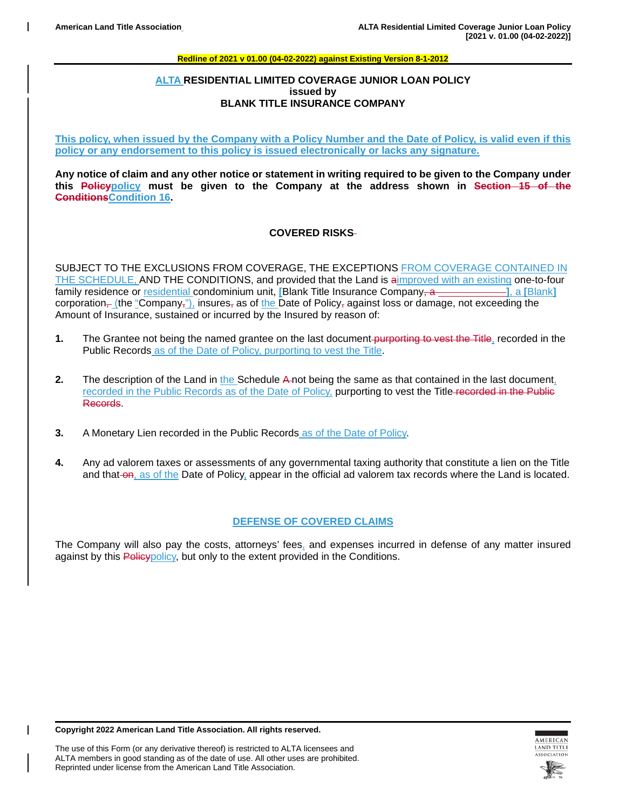### **ALTA RESIDENTIAL LIMITED COVERAGE JUNIOR LOAN POLICY issued by BLANK TITLE INSURANCE COMPANY**

**This policy, when issued by the Company with a Policy Number and the Date of Policy, is valid even if this policy or any endorsement to this policy is issued electronically or lacks any signature.**

**Any notice of claim and any other notice or statement in writing required to be given to the Company under this Policypolicy must be given to the Company at the address shown in Section 15 of the ConditionsCondition 16.**

## **COVERED RISKS**

SUBJECT TO THE EXCLUSIONS FROM COVERAGE, THE EXCEPTIONS FROM COVERAGE CONTAINED IN THE SCHEDULE, AND THE CONDITIONS, and provided that the Land is aimproved with an existing one-to-four family residence or residential condominium unit, [Blank Title Insurance Company, a **[**Blank], a [Blank] corporation<sub> $\tau$ </sub> (the "Company<sub>"</sub>), insures<sub> $\tau$ </sub> as of the Date of Policy, against loss or damage, not exceeding the Amount of Insurance, sustained or incurred by the Insured by reason of:

- **1.** The Grantee not being the named grantee on the last document-purporting to vest the Title, recorded in the Public Records as of the Date of Policy, purporting to vest the Title.
- **2.** The description of the Land in the Schedule A-not being the same as that contained in the last document, recorded in the Public Records as of the Date of Policy, purporting to vest the Title recorded in the Public Records.
- **3.** A Monetary Lien recorded in the Public Records as of the Date of Policy.
- **4.** Any ad valorem taxes or assessments of any governmental taxing authority that constitute a lien on the Title and that on, as of the Date of Policy, appear in the official ad valorem tax records where the Land is located.

### **DEFENSE OF COVERED CLAIMS**

The Company will also pay the costs, attorneys' fees, and expenses incurred in defense of any matter insured against by this Policy policy, but only to the extent provided in the Conditions.

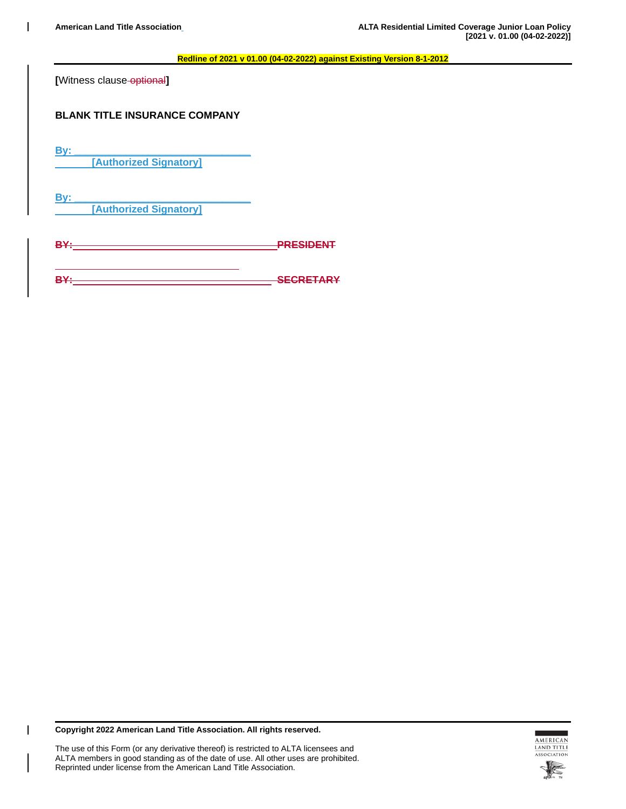**[**Witness clause optional**]**

# **BLANK TITLE INSURANCE COMPANY**

**By: \_\_\_\_\_\_\_\_\_\_\_\_\_\_\_\_\_\_\_\_\_\_\_\_\_\_\_\_\_\_\_ [Authorized Signatory]**

**By: \_\_\_\_\_\_\_\_\_\_\_\_\_\_\_\_\_\_\_\_\_\_\_\_\_\_\_\_\_\_\_**

**[Authorized Signatory]**

**BY: PRESIDENT**

**BY: SECRETARY**

**Copyright 2022 American Land Title Association. All rights reserved.**

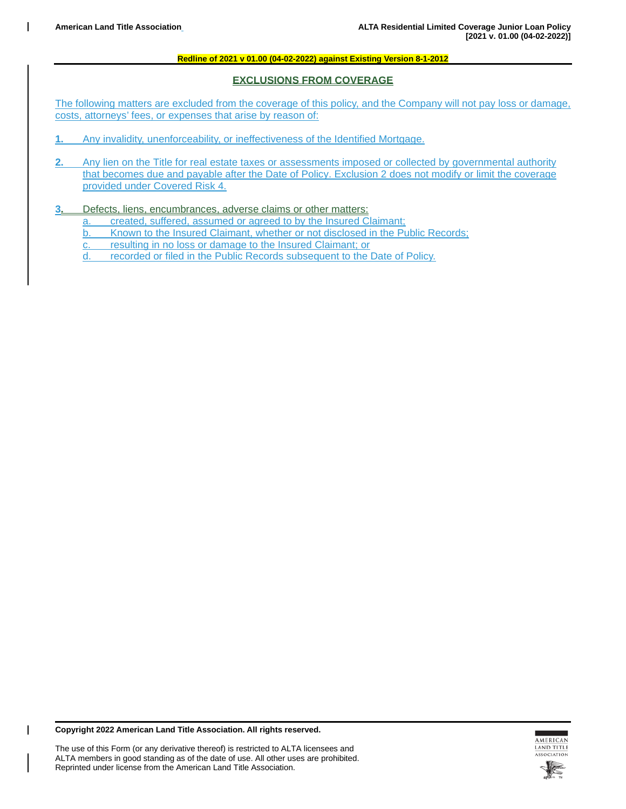## **EXCLUSIONS FROM COVERAGE**

The following matters are excluded from the coverage of this policy, and the Company will not pay loss or damage, costs, attorneys' fees, or expenses that arise by reason of:

- **1.** Any invalidity, unenforceability, or ineffectiveness of the Identified Mortgage.
- **2.** Any lien on the Title for real estate taxes or assessments imposed or collected by governmental authority that becomes due and payable after the Date of Policy. Exclusion 2 does not modify or limit the coverage provided under Covered Risk 4.
- **3.** Defects, liens, encumbrances, adverse claims or other matters:
	- a. created, suffered, assumed or agreed to by the Insured Claimant;
	- b. Known to the Insured Claimant, whether or not disclosed in the Public Records;
	- c. resulting in no loss or damage to the Insured Claimant; or
	- d. recorded or filed in the Public Records subsequent to the Date of Policy.

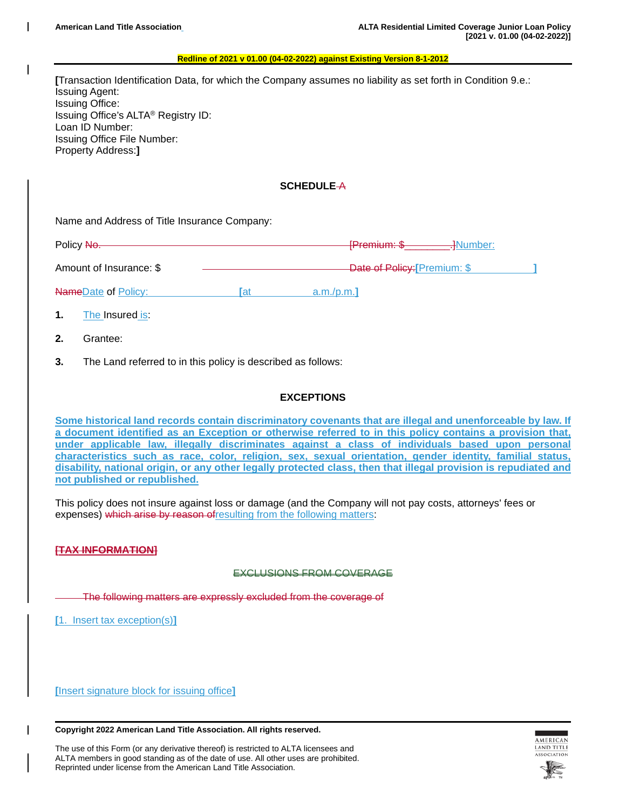**[**Transaction Identification Data, for which the Company assumes no liability as set forth in Condition 9.e.: Issuing Agent: Issuing Office: Issuing Office's ALTA® Registry ID: Loan ID Number: Issuing Office File Number: Property Address:**]**

### **SCHEDULE** A

Name and Address of Title Insurance Company:

| Policy No.                 |     | [Pramin,m:<br><del>.]</del> Number:<br><del>ir iomann. v</del> |  |
|----------------------------|-----|----------------------------------------------------------------|--|
| Amount of Insurance: \$    |     | Date of Policy: [Premium: \$                                   |  |
| <b>NameDate of Policy:</b> | ſat | a.m./p.m.                                                      |  |

**1.** The Insured is:

- **2.** Grantee:
- **3.** The Land referred to in this policy is described as follows:

### **EXCEPTIONS**

**Some historical land records contain discriminatory covenants that are illegal and unenforceable by law. If a document identified as an Exception or otherwise referred to in this policy contains a provision that, under applicable law, illegally discriminates against a class of individuals based upon personal characteristics such as race, color, religion, sex, sexual orientation, gender identity, familial status, disability, national origin, or any other legally protected class, then that illegal provision is repudiated and not published or republished.**

This policy does not insure against loss or damage (and the Company will not pay costs, attorneys' fees or expenses) which arise by reason of resulting from the following matters:

### **[TAX INFORMATION]**

#### EXCLUSIONS FROM COVERAGE

The following matters are expressly excluded from the coverage of

**[**1. Insert tax exception(s)**]**

**[**Insert signature block for issuing office**]**

**Copyright 2022 American Land Title Association. All rights reserved.**



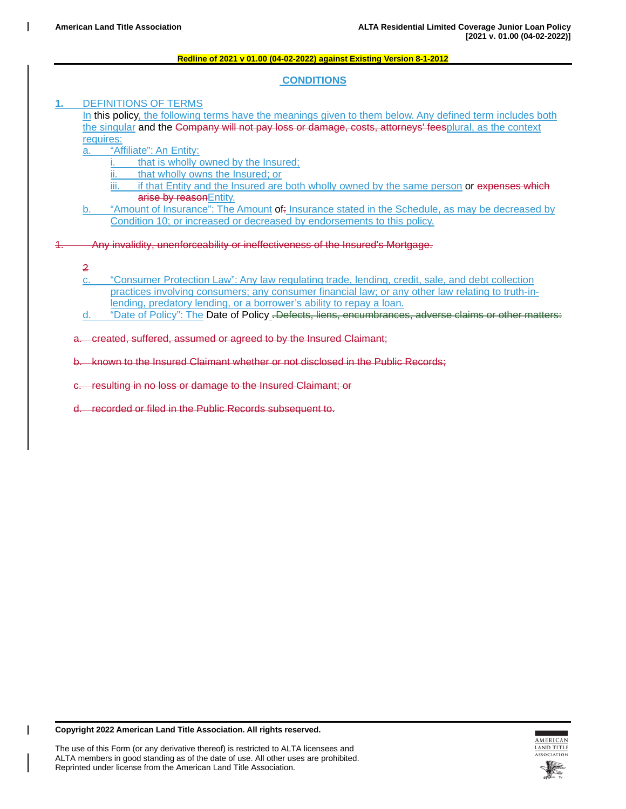### **CONDITIONS**

### **1.** DEFINITIONS OF TERMS

In this policy, the following terms have the meanings given to them below. Any defined term includes both the singular and the Company will not pay loss or damage, costs, attorneys' feesplural, as the context requires:

a. **"Affiliate": An Entity:** 

- i. that is wholly owned by the Insured;
- ii. that wholly owns the Insured; or
- iii. if that Entity and the Insured are both wholly owned by the same person or expenses which arise by reasonEntity.
- "Amount of Insurance": The Amount of: Insurance stated in the Schedule, as may be decreased by Condition 10; or increased or decreased by endorsements to this policy.

1. Any invalidity, unenforceability or ineffectiveness of the Insured's Mortgage.

- 2
- c. "Consumer Protection Law": Any law regulating trade, lending, credit, sale, and debt collection practices involving consumers; any consumer financial law; or any other law relating to truth-inlending, predatory lending, or a borrower's ability to repay a loan.
- d. "Date of Policy": The Date of Policy **.**Defects, liens, encumbrances, adverse claims or other matters:

a. created, suffered, assumed or agreed to by the Insured Claimant;

b. known to the Insured Claimant whether or not disclosed in the Public Records;

resulting in no loss or damage to the Insured Claimant; or

d. recorded or filed in the Public Records subsequent to.

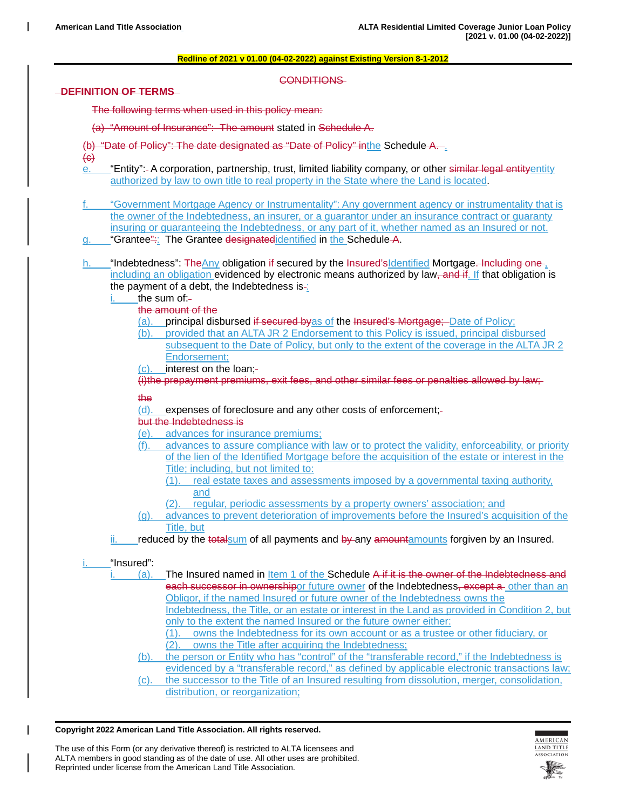#### CONDITIONS

**DEFINITION OF TERMS** 

The following terms when used in this policy mean:

- (a) "Amount of Insurance": The amount stated in Schedule A.
- (b) "Date of Policy": The date designated as "Date of Policy" inthe Schedule-A.-.
- $\left\langle \Theta \right\rangle$
- e. "Entity": A corporation, partnership, trust, limited liability company, or other similar legal entityentity authorized by law to own title to real property in the State where the Land is located.
- f. "Government Mortgage Agency or Instrumentality": Any government agency or instrumentality that is the owner of the Indebtedness, an insurer, or a guarantor under an insurance contract or guaranty insuring or guaranteeing the Indebtedness, or any part of it, whether named as an Insured or not.
- g. "Grantee": The Grantee designatedidentified in the Schedule-A.
- h. "Indebtedness": TheAny obligation if secured by the Insured'sIdentified Mortgage. Including one including an obligation evidenced by electronic means authorized by law, and if. If that obligation is the payment of a debt, the Indebtedness is- $\frac{1}{2}$ 
	- the sum of:
		- the amount of the
		- (a). principal disbursed if secured byas of the Insured's Mortgage; Date of Policy;
		- (b). provided that an ALTA JR 2 Endorsement to this Policy is issued, principal disbursed subsequent to the Date of Policy, but only to the extent of the coverage in the ALTA JR 2 Endorsement;
		- (c). interest on the loan;

(i)the prepayment premiums, exit fees, and other similar fees or penalties allowed by law;

## the

(d). expenses of foreclosure and any other costs of enforcement;

# but the Indebtedness is

- (e). advances for insurance premiums;
- (f). advances to assure compliance with law or to protect the validity, enforceability, or priority of the lien of the Identified Mortgage before the acquisition of the estate or interest in the Title; including, but not limited to:
	- (1). real estate taxes and assessments imposed by a governmental taxing authority, and
	- (2). regular, periodic assessments by a property owners' association; and
- (g). advances to prevent deterioration of improvements before the Insured's acquisition of the Title, but
- reduced by the totalsum of all payments and by any amountamounts forgiven by an Insured.

### i. "Insured":

- (a). The Insured named in Item 1 of the Schedule  $A$  if it is the owner of the Indebtedness and each successor in ownershipor future owner of the Indebtedness, except a other than an Obligor, if the named Insured or future owner of the Indebtedness owns the Indebtedness, the Title, or an estate or interest in the Land as provided in Condition 2, but only to the extent the named Insured or the future owner either:
	- (1). owns the Indebtedness for its own account or as a trustee or other fiduciary, or (2). owns the Title after acquiring the Indebtedness;
	- (b). the person or Entity who has "control" of the "transferable record," if the Indebtedness is evidenced by a "transferable record," as defined by applicable electronic transactions law;
	- (c). the successor to the Title of an Insured resulting from dissolution, merger, consolidation, distribution, or reorganization;

#### **Copyright 2022 American Land Title Association. All rights reserved.**



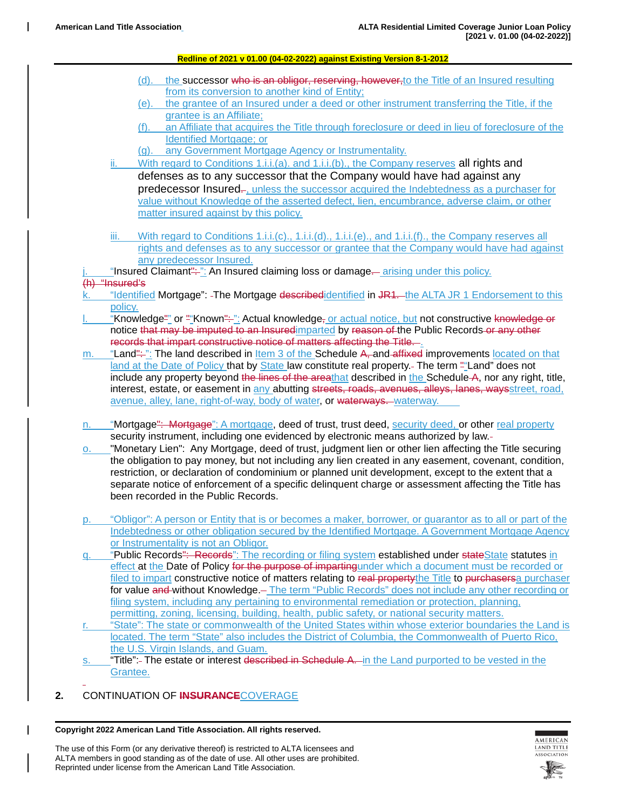- (d). the successor who is an obligor, reserving, however, to the Title of an Insured resulting from its conversion to another kind of Entity;
- (e). the grantee of an Insured under a deed or other instrument transferring the Title, if the grantee is an Affiliate;
- (f). an Affiliate that acquires the Title through foreclosure or deed in lieu of foreclosure of the Identified Mortgage; or
- (g). any Government Mortgage Agency or Instrumentality.
- ii. With regard to Conditions 1.i.i.(a). and 1.i.i.(b)., the Company reserves all rights and defenses as to any successor that the Company would have had against any predecessor Insured. unless the successor acquired the Indebtedness as a purchaser for value without Knowledge of the asserted defect, lien, encumbrance, adverse claim, or other matter insured against by this policy.
- iii. With regard to Conditions 1.i.i.(c)., 1.i.i.(d)., 1.i.i.(e)., and 1.i.i.(f)., the Company reserves all rights and defenses as to any successor or grantee that the Company would have had against any predecessor Insured.
- "Insured Claimant": ": An Insured claiming loss or damage. arising under this policy.

# $(h)$  "Insured's

- "Identified Mortgage": -The Mortgage describedidentified in JR1. the ALTA JR 1 Endorsement to this policy.
- "Knowledge"" or ""Known": ": Actual knowledge, or actual notice, but not constructive knowledge or notice that may be imputed to an Insuredimparted by reason of the Public Records or any other records that impart constructive notice of matters affecting the Title. .
- m. "Land": ": The land described in Item 3 of the Schedule A, and affixed improvements located on that land at the Date of Policy that by State law constitute real property.- The term ""Land" does not include any property beyond the lines of the areathat described in the Schedule-A, nor any right, title, interest, estate, or easement in any abutting streets, roads, avenues, alleys, lanes, waysstreet, road, avenue, alley, lane, right-of-way, body of water, or waterways. waterway.
- n. "Mortgage": Mortgage": A mortgage, deed of trust, trust deed, security deed, or other real property security instrument, including one evidenced by electronic means authorized by law.
- o. "Monetary Lien": Any Mortgage, deed of trust, judgment lien or other lien affecting the Title securing the obligation to pay money, but not including any lien created in any easement, covenant, condition, restriction, or declaration of condominium or planned unit development, except to the extent that a separate notice of enforcement of a specific delinquent charge or assessment affecting the Title has been recorded in the Public Records.
- p. "Obligor": A person or Entity that is or becomes a maker, borrower, or guarantor as to all or part of the Indebtedness or other obligation secured by the Identified Mortgage. A Government Mortgage Agency or Instrumentality is not an Obligor.
- q. "Public Records": Records": The recording or filing system established under stateState statutes in effect at the Date of Policy for the purpose of impartingunder which a document must be recorded or filed to impart constructive notice of matters relating to real propertythe Title to purchasersa purchaser for value and without Knowledge. The term "Public Records" does not include any other recording or filing system, including any pertaining to environmental remediation or protection, planning, permitting, zoning, licensing, building, health, public safety, or national security matters.
- r. "State": The state or commonwealth of the United States within whose exterior boundaries the Land is located. The term "State" also includes the District of Columbia, the Commonwealth of Puerto Rico, the U.S. Virgin Islands, and Guam.
- s. "Title":- The estate or interest described in Schedule A. in the Land purported to be vested in the Grantee.
- **2.** CONTINUATION OF **INSURANCE**COVERAGE

**Copyright 2022 American Land Title Association. All rights reserved.**

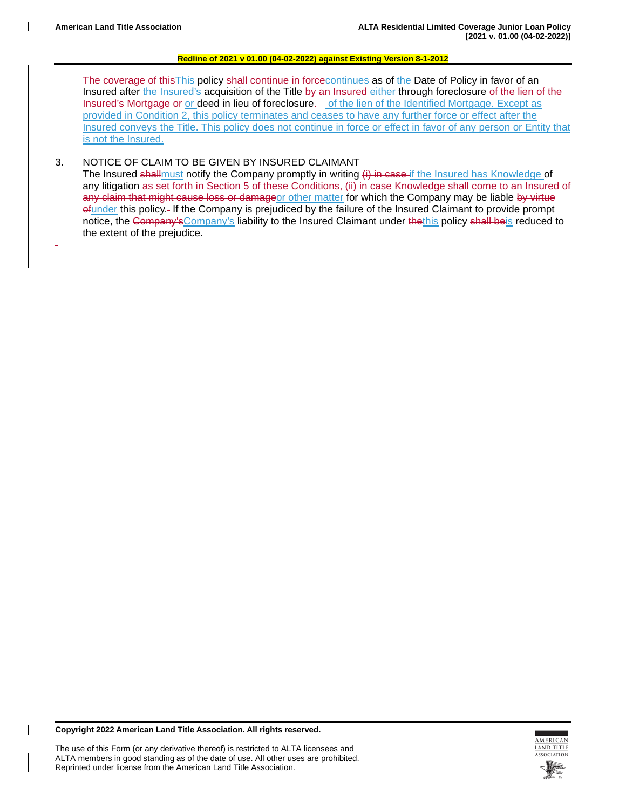The coverage of this This policy shall continue in forcecontinues as of the Date of Policy in favor of an Insured after the Insured's acquisition of the Title by an Insured-either through foreclosure of the lien of the Insured's Mortgage or or deed in lieu of foreclosure. of the lien of the Identified Mortgage. Except as provided in Condition 2, this policy terminates and ceases to have any further force or effect after the Insured conveys the Title. This policy does not continue in force or effect in favor of any person or Entity that is not the Insured.

### 3. NOTICE OF CLAIM TO BE GIVEN BY INSURED CLAIMANT

The Insured shallmust notify the Company promptly in writing (i) in case if the Insured has Knowledge of any litigation as set forth in Section 5 of these Conditions, (ii) in case Knowledge shall come to an Insured of any claim that might cause loss or damageor other matter for which the Company may be liable by virtue ofunder this policy. If the Company is prejudiced by the failure of the Insured Claimant to provide prompt notice, the Company's Company's liability to the Insured Claimant under the this policy shall beis reduced to the extent of the prejudice.

**Copyright 2022 American Land Title Association. All rights reserved.**

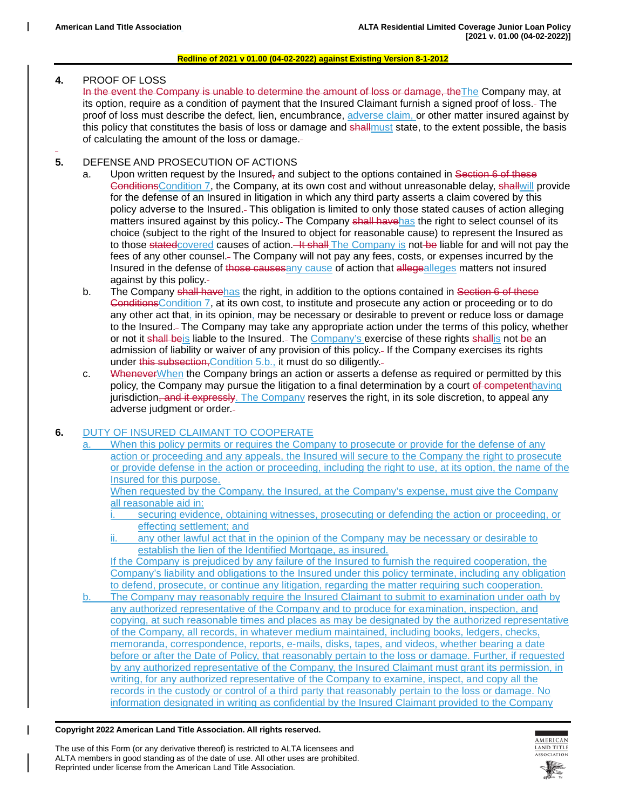### **4.** PROOF OF LOSS

In the event the Company is unable to determine the amount of loss or damage, theThe Company may, at its option, require as a condition of payment that the Insured Claimant furnish a signed proof of loss. The proof of loss must describe the defect, lien, encumbrance, adverse claim, or other matter insured against by this policy that constitutes the basis of loss or damage and shallmust state, to the extent possible, the basis of calculating the amount of the loss or damage.

## **5.** DEFENSE AND PROSECUTION OF ACTIONS

- a. Upon written request by the Insured<sub>r</sub> and subject to the options contained in Section 6 of these ConditionsCondition 7, the Company, at its own cost and without unreasonable delay, shallwill provide for the defense of an Insured in litigation in which any third party asserts a claim covered by this policy adverse to the Insured. This obligation is limited to only those stated causes of action alleging matters insured against by this policy.- The Company shall havehas the right to select counsel of its choice (subject to the right of the Insured to object for reasonable cause) to represent the Insured as to those stated covered causes of action. It shall The Company is not be liable for and will not pay the fees of any other counsel. The Company will not pay any fees, costs, or expenses incurred by the Insured in the defense of those causes any cause of action that allegealleges matters not insured against by this policy.
- b. The Company shall havehas the right, in addition to the options contained in Section 6 of these ConditionsCondition 7, at its own cost, to institute and prosecute any action or proceeding or to do any other act that, in its opinion, may be necessary or desirable to prevent or reduce loss or damage to the Insured. The Company may take any appropriate action under the terms of this policy, whether or not it shall beis liable to the Insured. The Company's exercise of these rights shallis not be an admission of liability or waiver of any provision of this policy. If the Company exercises its rights under this subsection, Condition 5.b., it must do so diligently.-
- c. Whenever When the Company brings an action or asserts a defense as required or permitted by this policy, the Company may pursue the litigation to a final determination by a court of competenthaving jurisdiction, and it expressly. The Company reserves the right, in its sole discretion, to appeal any adverse judgment or order.

# **6.** DUTY OF INSURED CLAIMANT TO COOPERATE

When this policy permits or requires the Company to prosecute or provide for the defense of any action or proceeding and any appeals, the Insured will secure to the Company the right to prosecute or provide defense in the action or proceeding, including the right to use, at its option, the name of the Insured for this purpose.

When requested by the Company, the Insured, at the Company's expense, must give the Company all reasonable aid in:

securing evidence, obtaining witnesses, prosecuting or defending the action or proceeding, or effecting settlement; and

ii. any other lawful act that in the opinion of the Company may be necessary or desirable to establish the lien of the Identified Mortgage, as insured.

If the Company is prejudiced by any failure of the Insured to furnish the required cooperation, the Company's liability and obligations to the Insured under this policy terminate, including any obligation to defend, prosecute, or continue any litigation, regarding the matter requiring such cooperation.

b. The Company may reasonably require the Insured Claimant to submit to examination under oath by any authorized representative of the Company and to produce for examination, inspection, and copying, at such reasonable times and places as may be designated by the authorized representative of the Company, all records, in whatever medium maintained, including books, ledgers, checks, memoranda, correspondence, reports, e-mails, disks, tapes, and videos, whether bearing a date before or after the Date of Policy, that reasonably pertain to the loss or damage. Further, if requested by any authorized representative of the Company, the Insured Claimant must grant its permission, in writing, for any authorized representative of the Company to examine, inspect, and copy all the records in the custody or control of a third party that reasonably pertain to the loss or damage. No information designated in writing as confidential by the Insured Claimant provided to the Company

**Copyright 2022 American Land Title Association. All rights reserved.**



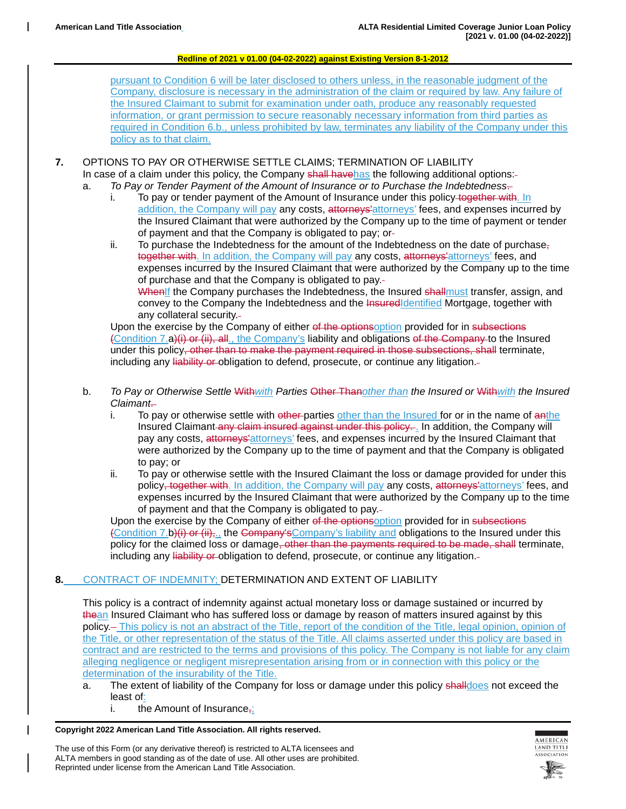pursuant to Condition 6 will be later disclosed to others unless, in the reasonable judgment of the Company, disclosure is necessary in the administration of the claim or required by law. Any failure of the Insured Claimant to submit for examination under oath, produce any reasonably requested information, or grant permission to secure reasonably necessary information from third parties as required in Condition 6.b., unless prohibited by law, terminates any liability of the Company under this policy as to that claim.

## **7.** OPTIONS TO PAY OR OTHERWISE SETTLE CLAIMS; TERMINATION OF LIABILITY

- In case of a claim under this policy, the Company shall havehas the following additional options:-
- a. *To Pay or Tender Payment of the Amount of Insurance or to Purchase the Indebtedness*. i. To pay or tender payment of the Amount of Insurance under this policy together with. In addition, the Company will pay any costs, attorneys' attorneys' fees, and expenses incurred by the Insured Claimant that were authorized by the Company up to the time of payment or tender of payment and that the Company is obligated to pay; or
	- ii. To purchase the Indebtedness for the amount of the Indebtedness on the date of purchase $\frac{1}{2}$ together with. In addition, the Company will pay any costs, attorneys' attorneys' fees, and expenses incurred by the Insured Claimant that were authorized by the Company up to the time of purchase and that the Company is obligated to pay.

WhenIf the Company purchases the Indebtedness, the Insured shallmust transfer, assign, and convey to the Company the Indebtedness and the InsuredIdentified Mortgage, together with any collateral security.

Upon the exercise by the Company of either of the optionsoption provided for in subsections (Condition 7.a)(i) or (ii), all., the Company's liability and obligations of the Company to the Insured under this policy<del>, other than to make the payment required in those subsections, shall</del> terminate, including any liability or obligation to defend, prosecute, or continue any litigation.

- b. *To Pay or Otherwise Settle* With*with Parties* Other Than*other than the Insured or* With*with the Insured Claimant*.
	- i. To pay or otherwise settle with other parties other than the Insured for or in the name of anthe Insured Claimant any claim insured against under this policy. . In addition, the Company will pay any costs, attorneys' attorneys' fees, and expenses incurred by the Insured Claimant that were authorized by the Company up to the time of payment and that the Company is obligated to pay; or
	- ii. To pay or otherwise settle with the Insured Claimant the loss or damage provided for under this policy<del>, together with</del>. In addition, the Company will pay any costs, attorneys attorneys' fees, and expenses incurred by the Insured Claimant that were authorized by the Company up to the time of payment and that the Company is obligated to pay.

Upon the exercise by the Company of either of the optionsoption provided for in subsections (Condition 7.b)(i) or (ii), the Company's Company's liability and obligations to the Insured under this policy for the claimed loss or damage, other than the payments required to be made, shall terminate, including any liability or obligation to defend, prosecute, or continue any litigation.

# **8.** CONTRACT OF INDEMNITY; DETERMINATION AND EXTENT OF LIABILITY

This policy is a contract of indemnity against actual monetary loss or damage sustained or incurred by thean Insured Claimant who has suffered loss or damage by reason of matters insured against by this policy. This policy is not an abstract of the Title, report of the condition of the Title, legal opinion, opinion of the Title, or other representation of the status of the Title. All claims asserted under this policy are based in contract and are restricted to the terms and provisions of this policy. The Company is not liable for any claim alleging negligence or negligent misrepresentation arising from or in connection with this policy or the determination of the insurability of the Title.

- a. The extent of liability of the Company for loss or damage under this policy shalldoes not exceed the least of:
	- i. the Amount of Insurance,;

#### **Copyright 2022 American Land Title Association. All rights reserved.**

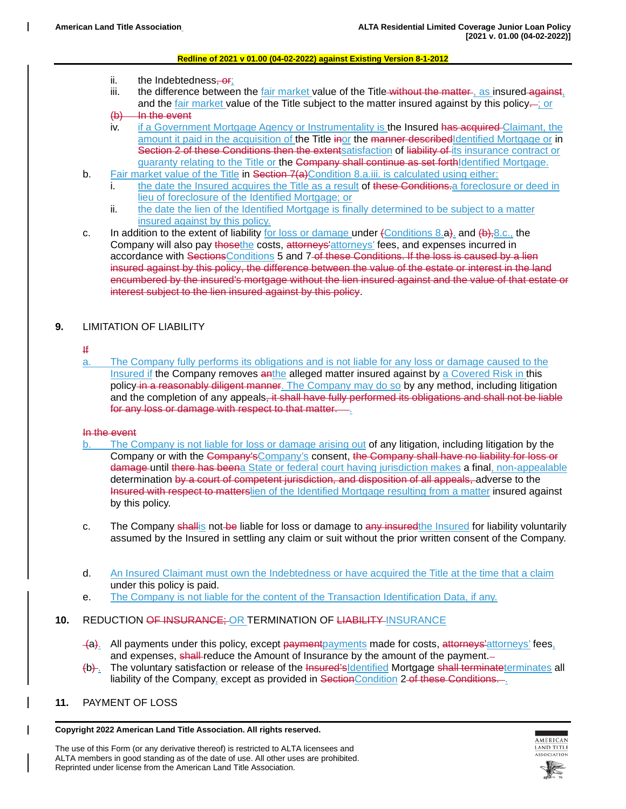- ii. the Indebtedness, or;
- iii. the difference between the fair market value of the Title without the matter, as insured against, and the fair market value of the Title subject to the matter insured against by this policy-; or
- $(b)$  In the event
- iv. if a Government Mortgage Agency or Instrumentality is the Insured has acquired Claimant, the amount it paid in the acquisition of the Title inor the manner described dentified Mortgage or in Section 2 of these Conditions then the extentsatisfaction of liability of its insurance contract or guaranty relating to the Title or the Company shall continue as set forthIdentified Mortgage.
- b. Fair market value of the Title in Section 7(a) Condition 8.a.iii. is calculated using either:
	- i. the date the Insured acquires the Title as a result of these Conditions a foreclosure or deed in lieu of foreclosure of the Identified Mortgage; or
	- ii. the date the lien of the Identified Mortgage is finally determined to be subject to a matter insured against by this policy.
- c. In addition to the extent of liability for loss or damage under  $\{\text{Conditions } 8.a\}$  and  $\{\text{b}\},\text{8.c.}$ , the Company will also pay those the costs, attorneys' attorneys' fees, and expenses incurred in accordance with SectionsConditions 5 and 7-of these Conditions. If the loss is caused by a lien insured against by this policy, the difference between the value of the estate or interest in the land encumbered by the insured's mortgage without the lien insured against and the value of that estate or interest subject to the lien insured against by this policy.

# **9.** LIMITATION OF LIABILITY

### If

a. The Company fully performs its obligations and is not liable for any loss or damage caused to the Insured if the Company removes anthe alleged matter insured against by a Covered Risk in this policy in a reasonably diligent manner. The Company may do so by any method, including litigation and the completion of any appeals, it shall have fully performed its obligations and shall not be liable for any loss or damage with respect to that matter. ...

### In the event

- b. The Company is not liable for loss or damage arising out of any litigation, including litigation by the Company or with the Company'sCompany's consent, the Company shall have no liability for loss or damage until there has beena State or federal court having jurisdiction makes a final, non-appealable determination by a court of competent jurisdiction, and disposition of all appeals, adverse to the Insured with respect to matterslien of the Identified Mortgage resulting from a matter insured against by this policy.
- c. The Company shallis not be liable for loss or damage to any insured the Insured for liability voluntarily assumed by the Insured in settling any claim or suit without the prior written consent of the Company.
- d. An Insured Claimant must own the Indebtedness or have acquired the Title at the time that a claim under this policy is paid.
- e. The Company is not liable for the content of the Transaction Identification Data, if any.

## **10.** REDUCTION OF INSURANCE; OR TERMINATION OF LIABILITY INSURANCE

- (a). All payments under this policy, except payment payments made for costs, attorneys attorneys' fees, and expenses, shall-reduce the Amount of Insurance by the amount of the payment.-
- (b). The voluntary satisfaction or release of the Insured'sIdentified Mortgage shall terminateterminates all liability of the Company, except as provided in Section Condition 2 of these Conditions....
- **11.** PAYMENT OF LOSS

**Copyright 2022 American Land Title Association. All rights reserved.**



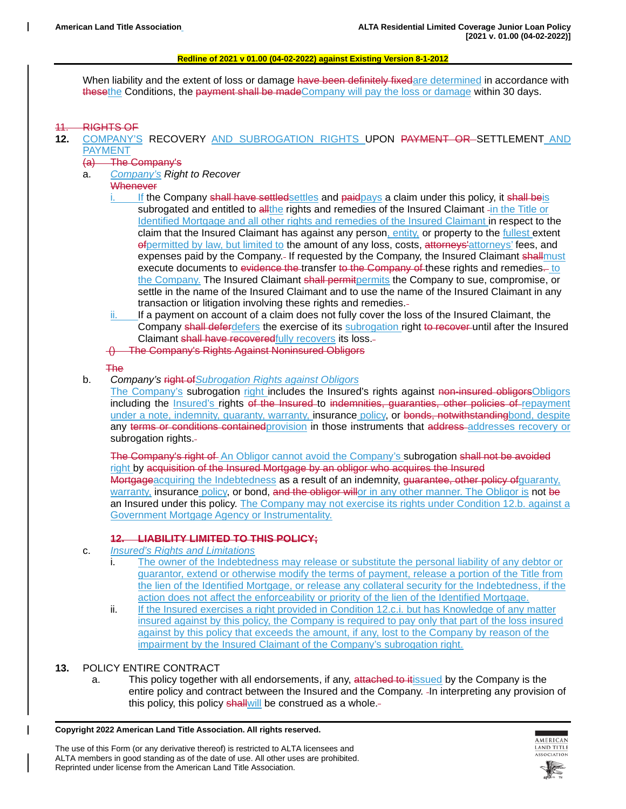When liability and the extent of loss or damage have been definitely fixedare determined in accordance with thesethe Conditions, the payment shall be madeCompany will pay the loss or damage within 30 days.

### **RIGHTS OF**

- **12.** COMPANY'S RECOVERY AND SUBROGATION RIGHTS UPON PAYMENT OR SETTLEMENT AND PAYMENT
	- (a) The Company's
	- a. *Company's Right to Recover*

# **Whenever**

- If the Company shall have settled settles and paidpays a claim under this policy, it shall beis subrogated and entitled to all the rights and remedies of the Insured Claimant -in the Title or Identified Mortgage and all other rights and remedies of the Insured Claimant in respect to the claim that the Insured Claimant has against any person, entity, or property to the fullest extent of permitted by law, but limited to the amount of any loss, costs, attorneys' attorneys' fees, and expenses paid by the Company.- If requested by the Company, the Insured Claimant shallmust execute documents to evidence the transfer to the Company of these rights and remedies. to the Company. The Insured Claimant shall permit permits the Company to sue, compromise, or settle in the name of the Insured Claimant and to use the name of the Insured Claimant in any transaction or litigation involving these rights and remedies.
- ii. If a payment on account of a claim does not fully cover the loss of the Insured Claimant, the Company shall deferdefers the exercise of its subrogation right to recover until after the Insured Claimant shall have recoveredfully recovers its loss.-
- () The Company's Rights Against Noninsured Obligors

### The

- b. *Company's* right of*Subrogation Rights against Obligors*
	- The Company's subrogation right includes the Insured's rights against non-insured obligorsObligors including the *Insured's* rights of the Insured to indemnities, guaranties, other policies of repayment under a note, indemnity, quaranty, warranty, insurance policy, or bonds, notwithstandingbond, despite any terms or conditions contained provision in those instruments that address addresses recovery or subrogation rights.

The Company's right of An Obligor cannot avoid the Company's subrogation shall not be avoided right by acquisition of the Insured Mortgage by an obligor who acquires the Insured Mortgageacquiring the Indebtedness as a result of an indemnity, guarantee, other policy of quaranty, warranty, insurance policy, or bond, and the obligor willor in any other manner. The Obligor is not be an Insured under this policy. The Company may not exercise its rights under Condition 12.b. against a Government Mortgage Agency or Instrumentality.

### **12. LIABILITY LIMITED TO THIS POLICY;**

- c. *Insured's Rights and Limitations*
	- i. The owner of the Indebtedness may release or substitute the personal liability of any debtor or guarantor, extend or otherwise modify the terms of payment, release a portion of the Title from the lien of the Identified Mortgage, or release any collateral security for the Indebtedness, if the action does not affect the enforceability or priority of the lien of the Identified Mortgage.
	- ii. If the Insured exercises a right provided in Condition 12.c.i. but has Knowledge of any matter insured against by this policy, the Company is required to pay only that part of the loss insured against by this policy that exceeds the amount, if any, lost to the Company by reason of the impairment by the Insured Claimant of the Company's subrogation right.

### **13.** POLICY ENTIRE CONTRACT

a. This policy together with all endorsements, if any, attached to it issued by the Company is the entire policy and contract between the Insured and the Company. In interpreting any provision of this policy, this policy shallwill be construed as a whole.-

**Copyright 2022 American Land Title Association. All rights reserved.**

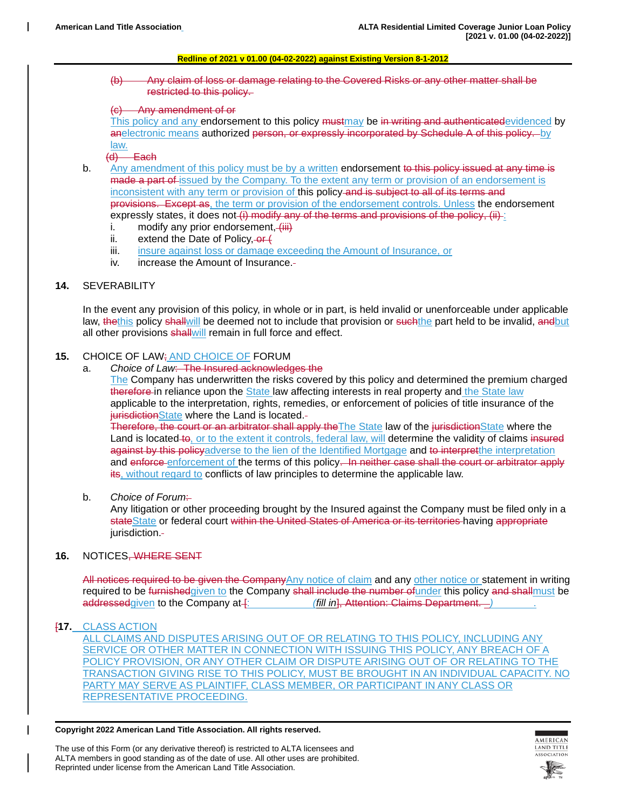(b) Any claim of loss or damage relating to the Covered Risks or any other matter shall be restricted to this policy.

### (c) Any amendment of or

This policy and any endorsement to this policy mustmay be in writing and authenticatedevidenced by anelectronic means authorized person, or expressly incorporated by Schedule A of this policy. by

#### $\frac{law.}{(d)}$ Each

- b. Any amendment of this policy must be by a written endorsement to this policy issued at any time is made a part of issued by the Company. To the extent any term or provision of an endorsement is inconsistent with any term or provision of this policy-and is subject to all of its terms and provisions. Except as, the term or provision of the endorsement controls. Unless the endorsement expressly states, it does not  $(i)$  modify any of the terms and provisions of the policy,  $(ii)$ 
	- i. modify any prior endorsement,  $\left\langle \frac{1}{111} \right\rangle$ <br>ii. extend the Date of Policy.  $\Theta f$
	- extend the Date of Policy,  $-$ or  $($
	- iii. insure against loss or damage exceeding the Amount of Insurance, or
	- iv. increase the Amount of Insurance.

### **14.** SEVERABILITY

In the event any provision of this policy, in whole or in part, is held invalid or unenforceable under applicable law, thethis policy shallwill be deemed not to include that provision or suchthe part held to be invalid, andbut all other provisions shallwill remain in full force and effect.

### **15.** CHOICE OF LAW; AND CHOICE OF FORUM

a. *Choice of Law*: The Insured acknowledges the

The Company has underwritten the risks covered by this policy and determined the premium charged therefore in reliance upon the State law affecting interests in real property and the State law applicable to the interpretation, rights, remedies, or enforcement of policies of title insurance of the jurisdictionState where the Land is located.-

Therefore, the court or an arbitrator shall apply the The State law of the jurisdiction State where the Land is located to, or to the extent it controls, federal law, will determine the validity of claims insured against by this policyadverse to the lien of the Identified Mortgage and to interpretthe interpretation and enforce enforcement of the terms of this policy. In neither case shall the court or arbitrator apply its, without regard to conflicts of law principles to determine the applicable law.

b. Choice of Forum-

Any litigation or other proceeding brought by the Insured against the Company must be filed only in a stateState or federal court within the United States of America or its territories having appropriate jurisdiction.-

### **16.** NOTICES, WHERE SENT

All notices required to be given the CompanyAny notice of claim and any other notice or statement in writing required to be furnishedgiven to the Company shall include the number of under this policy and shallmust be addressedgiven to the Company at  $\uparrow$ : *(fill in*), Attention: Claims Department. *)* 

### [**17.** CLASS ACTION

ALL CLAIMS AND DISPUTES ARISING OUT OF OR RELATING TO THIS POLICY, INCLUDING ANY SERVICE OR OTHER MATTER IN CONNECTION WITH ISSUING THIS POLICY, ANY BREACH OF A POLICY PROVISION, OR ANY OTHER CLAIM OR DISPUTE ARISING OUT OF OR RELATING TO THE TRANSACTION GIVING RISE TO THIS POLICY, MUST BE BROUGHT IN AN INDIVIDUAL CAPACITY. NO PARTY MAY SERVE AS PLAINTIFF, CLASS MEMBER, OR PARTICIPANT IN ANY CLASS OR REPRESENTATIVE PROCEEDING.

#### **Copyright 2022 American Land Title Association. All rights reserved.**